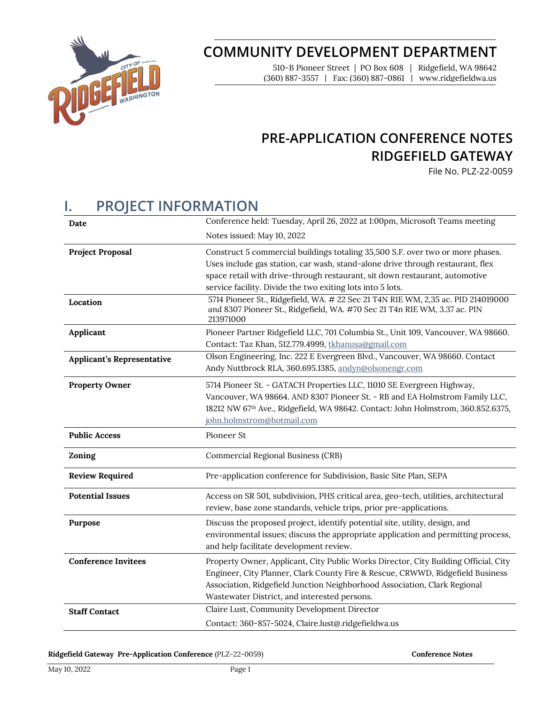

# **COMMUNITY DEVELOPMENT DEPARTMENT**

510-B Pioneer Street | PO Box 608 | Ridgefield, WA 98642 (360) 887-3557 | Fax: (360) 887-0861 | www.ridgefieldwa.us

# **PRE-APPLICATION CONFERENCE NOTES RIDGEFIELD GATEWAY**

File No. PLZ-22-0059

# **I. PROJECT INFORMATION**

| Date                              | Conference held: Tuesday, April 26, 2022 at 1:00pm, Microsoft Teams meeting                                                                                                                                                                                                                                   |
|-----------------------------------|---------------------------------------------------------------------------------------------------------------------------------------------------------------------------------------------------------------------------------------------------------------------------------------------------------------|
|                                   | Notes issued: May 10, 2022                                                                                                                                                                                                                                                                                    |
| <b>Project Proposal</b>           | Construct 5 commercial buildings totaling 35,500 S.F. over two or more phases.<br>Uses include gas station, car wash, stand-alone drive through restaurant, flex<br>space retail with drive-through restaurant, sit down restaurant, automotive<br>service facility. Divide the two exiting lots into 5 lots. |
| Location                          | 5714 Pioneer St., Ridgefield, WA. # 22 Sec 21 T4N R1E WM, 2,35 ac. PID 214019000<br>and 8307 Pioneer St., Ridgefield, WA. #70 Sec 21 T4n R1E WM, 3.37 ac. PIN<br>213971000                                                                                                                                    |
| Applicant                         | Pioneer Partner Ridgefield LLC, 701 Columbia St., Unit 109, Vancouver, WA 98660.<br>Contact: Taz Khan, 512.779.4999, tkhanusa@gmail.com                                                                                                                                                                       |
| <b>Applicant's Representative</b> | Olson Engineering, Inc. 222 E Evergreen Blvd., Vancouver, WA 98660. Contact<br>Andy Nuttbrock RLA, 360.695.1385, andyn@olsonengr.com                                                                                                                                                                          |
| <b>Property Owner</b>             | 5714 Pioneer St. - GATACH Properties LLC, 11010 SE Evergreen Highway,<br>Vancouver, WA 98664. AND 8307 Pioneer St. - RB and EA Holmstrom Family LLC,<br>18212 NW 67th Ave., Ridgefield, WA 98642. Contact: John Holmstrom, 360.852.6375,<br>john.holmstrom@hotmail.com                                        |
| <b>Public Access</b>              | Pioneer St                                                                                                                                                                                                                                                                                                    |
| Zoning                            | Commercial Regional Business (CRB)                                                                                                                                                                                                                                                                            |
| <b>Review Required</b>            | Pre-application conference for Subdivision, Basic Site Plan, SEPA                                                                                                                                                                                                                                             |
| <b>Potential Issues</b>           | Access on SR 501, subdivision, PHS critical area, geo-tech, utilities, architectural<br>review, base zone standards, vehicle trips, prior pre-applications.                                                                                                                                                   |
| Purpose                           | Discuss the proposed project, identify potential site, utility, design, and<br>environmental issues; discuss the appropriate application and permitting process,<br>and help facilitate development review.                                                                                                   |
| <b>Conference Invitees</b>        | Property Owner, Applicant, City Public Works Director, City Building Official, City<br>Engineer, City Planner, Clark County Fire & Rescue, CRWWD, Ridgefield Business<br>Association, Ridgefield Junction Neighborhood Association, Clark Regional<br>Wastewater District, and interested persons.            |
| <b>Staff Contact</b>              | Claire Lust, Community Development Director<br>Contact: 360-857-5024, Claire.lust@.ridgefieldwa.us                                                                                                                                                                                                            |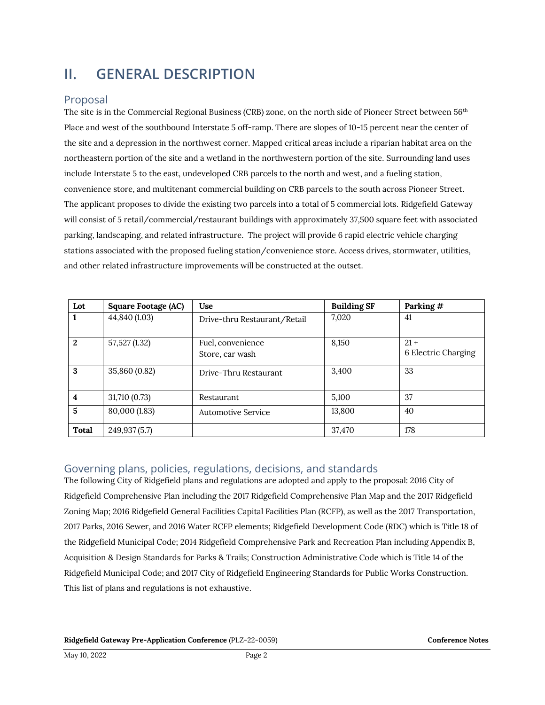# **II. GENERAL DESCRIPTION**

## Proposal

The site is in the Commercial Regional Business (CRB) zone, on the north side of Pioneer Street between 56<sup>th</sup> Place and west of the southbound Interstate 5 off-ramp. There are slopes of 10-15 percent near the center of the site and a depression in the northwest corner. Mapped critical areas include a riparian habitat area on the northeastern portion of the site and a wetland in the northwestern portion of the site. Surrounding land uses include Interstate 5 to the east, undeveloped CRB parcels to the north and west, and a fueling station, convenience store, and multitenant commercial building on CRB parcels to the south across Pioneer Street. The applicant proposes to divide the existing two parcels into a total of 5 commercial lots. Ridgefield Gateway will consist of 5 retail/commercial/restaurant buildings with approximately 37,500 square feet with associated parking, landscaping, and related infrastructure. The project will provide 6 rapid electric vehicle charging stations associated with the proposed fueling station/convenience store. Access drives, stormwater, utilities, and other related infrastructure improvements will be constructed at the outset.

| Lot          | Square Footage (AC) | <b>Use</b>                           | <b>Building SF</b> | Parking #                     |
|--------------|---------------------|--------------------------------------|--------------------|-------------------------------|
|              | 44,840 (1.03)       | Drive-thru Restaurant/Retail         | 7,020              | 41                            |
| 2            | 57,527 (1.32)       | Fuel, convenience<br>Store, car wash | 8,150              | $21 +$<br>6 Electric Charging |
| 3            | 35,860 (0.82)       | Drive-Thru Restaurant                | 3,400              | 33                            |
| 4            | 31,710 (0.73)       | Restaurant                           | 5,100              | 37                            |
| 5            | 80,000 (1.83)       | Automotive Service                   | 13,800             | 40                            |
| <b>Total</b> | 249,937(5.7)        |                                      | 37,470             | 178                           |

# Governing plans, policies, regulations, decisions, and standards

The following City of Ridgefield plans and regulations are adopted and apply to the proposal: 2016 City of Ridgefield Comprehensive Plan including the 2017 Ridgefield Comprehensive Plan Map and the 2017 Ridgefield Zoning Map; 2016 Ridgefield General Facilities Capital Facilities Plan (RCFP), as well as the 2017 Transportation, 2017 Parks, 2016 Sewer, and 2016 Water RCFP elements; Ridgefield Development Code (RDC) which is Title 18 of the Ridgefield Municipal Code; 2014 Ridgefield Comprehensive Park and Recreation Plan including Appendix B, Acquisition & Design Standards for Parks & Trails; Construction Administrative Code which is Title 14 of the Ridgefield Municipal Code; and 2017 City of Ridgefield Engineering Standards for Public Works Construction. This list of plans and regulations is not exhaustive.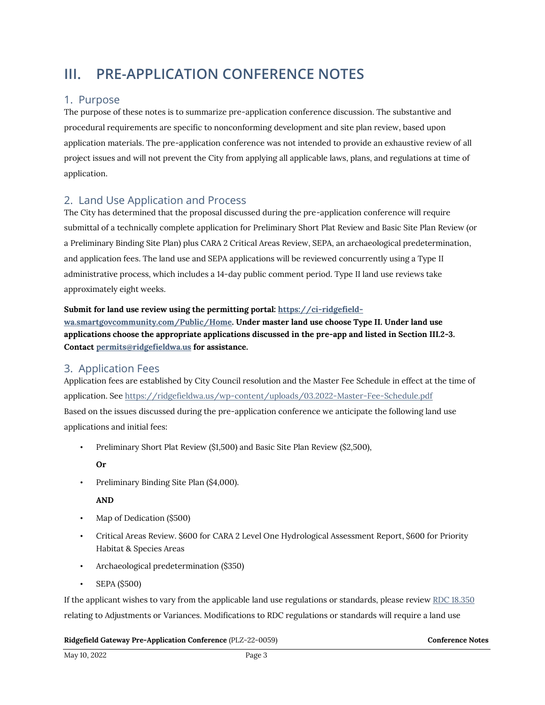# **III. PRE-APPLICATION CONFERENCE NOTES**

## 1. Purpose

The purpose of these notes is to summarize pre-application conference discussion. The substantive and procedural requirements are specific to nonconforming development and site plan review, based upon application materials. The pre-application conference was not intended to provide an exhaustive review of all project issues and will not prevent the City from applying all applicable laws, plans, and regulations at time of application.

## 2. Land Use Application and Process

The City has determined that the proposal discussed during the pre-application conference will require submittal of a technically complete application for Preliminary Short Plat Review and Basic Site Plan Review (or a Preliminary Binding Site Plan) plus CARA 2 Critical Areas Review, SEPA, an archaeological predetermination, and application fees. The land use and SEPA applications will be reviewed concurrently using a Type II administrative process, which includes a 14-day public comment period. Type II land use reviews take approximately eight weeks.

#### **Submit for land use review using the permitting portal[: https://ci-ridgefield-](https://ci-ridgefield-wa.smartgovcommunity.com/Public/Home)**

**[wa.smartgovcommunity.com/Public/Home.](https://ci-ridgefield-wa.smartgovcommunity.com/Public/Home) Under master land use choose Type II. Under land use applications choose the appropriate applications discussed in the pre-app and listed in Section III.2-3. Contact [permits@ridgefieldwa.us](mailto:permits@ridgefieldwa.us) for assistance.** 

## 3. Application Fees

Application fees are established by City Council resolution and the Master Fee Schedule in effect at the time of application. Se[e https://ridgefieldwa.us/wp-content/uploads/03.2022-Master-Fee-Schedule.pdf](https://ridgefieldwa.us/wp-content/uploads/03.2022-Master-Fee-Schedule.pdf) Based on the issues discussed during the pre-application conference we anticipate the following land use applications and initial fees:

• Preliminary Short Plat Review (\$1,500) and Basic Site Plan Review (\$2,500),

**Or**

• Preliminary Binding Site Plan (\$4,000).

**AND**

- Map of Dedication (\$500)
- Critical Areas Review. \$600 for CARA 2 Level One Hydrological Assessment Report, \$600 for Priority Habitat & Species Areas
- Archaeological predetermination (\$350)
- SEPA (\$500)

If the applicant wishes to vary from the applicable land use regulations or standards, please revie[w RDC 18.350](https://library.municode.com/wa/ridgefield/codes/code_of_ordinances?nodeId=CO_TIT18DECO_CH18.350MOST)  relating to Adjustments or Variances. Modifications to RDC regulations or standards will require a land use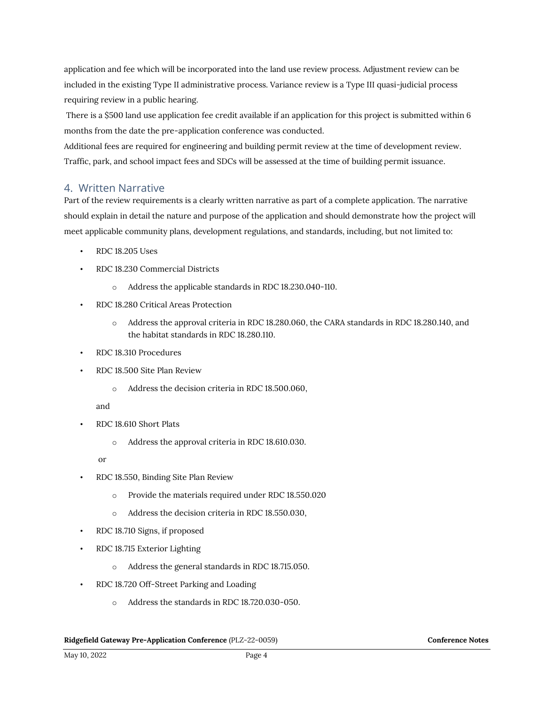application and fee which will be incorporated into the land use review process. Adjustment review can be included in the existing Type II administrative process. Variance review is a Type III quasi-judicial process requiring review in a public hearing.

There is a \$500 land use application fee credit available if an application for this project is submitted within 6 months from the date the pre-application conference was conducted.

Additional fees are required for engineering and building permit review at the time of development review. Traffic, park, and school impact fees and SDCs will be assessed at the time of building permit issuance.

## 4. Written Narrative

Part of the review requirements is a clearly written narrative as part of a complete application. The narrative should explain in detail the nature and purpose of the application and should demonstrate how the project will meet applicable community plans, development regulations, and standards, including, but not limited to:

- RDC 18.205 Uses
- RDC 18.230 Commercial Districts
	- o Address the applicable standards in RDC 18.230.040-110.
- RDC 18.280 Critical Areas Protection
	- o Address the approval criteria in RDC 18.280.060, the CARA standards in RDC 18.280.140, and the habitat standards in RDC 18.280.110.
- RDC 18.310 Procedures
- RDC 18.500 Site Plan Review
	- o Address the decision criteria in RDC 18.500.060,

and

- RDC 18.610 Short Plats
	- o Address the approval criteria in RDC 18.610.030.

or

- RDC 18.550, Binding Site Plan Review
	- o Provide the materials required under RDC 18.550.020
	- o Address the decision criteria in RDC 18.550.030,
- RDC 18.710 Signs, if proposed
- RDC 18.715 Exterior Lighting
	- o Address the general standards in RDC 18.715.050.
- RDC 18.720 Off-Street Parking and Loading
	- o Address the standards in RDC 18.720.030-050.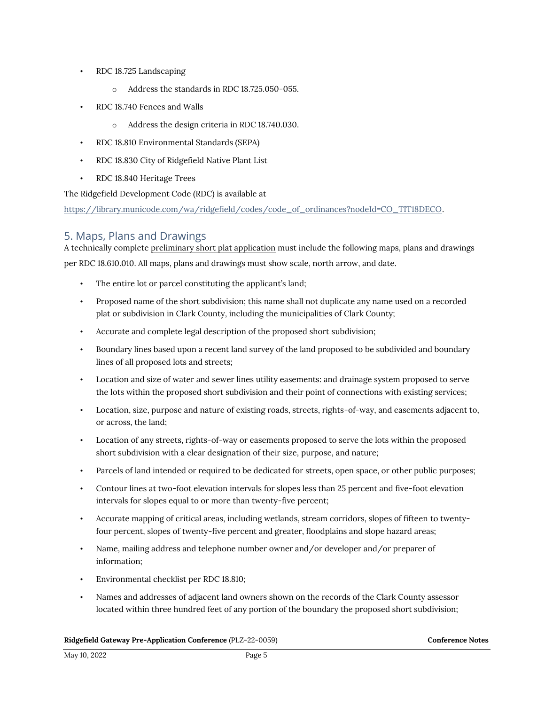- RDC 18.725 Landscaping
	- o Address the standards in RDC 18.725.050-055.
- RDC 18.740 Fences and Walls
	- o Address the design criteria in RDC 18.740.030.
- RDC 18.810 Environmental Standards (SEPA)
- RDC 18.830 City of Ridgefield Native Plant List
- RDC 18.840 Heritage Trees

The Ridgefield Development Code (RDC) is available at

[https://library.municode.com/wa/ridgefield/codes/code\\_of\\_ordinances?nodeId=CO\\_TIT18DECO.](https://library.municode.com/wa/ridgefield/codes/code_of_ordinances?nodeId=CO_TIT18DECO)

## 5. Maps, Plans and Drawings

A technically complete preliminary short plat application must include the following maps, plans and drawings per RDC 18.610.010. All maps, plans and drawings must show scale, north arrow, and date.

- The entire lot or parcel constituting the applicant's land;
- Proposed name of the short subdivision; this name shall not duplicate any name used on a recorded plat or subdivision in Clark County, including the municipalities of Clark County;
- Accurate and complete legal description of the proposed short subdivision;
- Boundary lines based upon a recent land survey of the land proposed to be subdivided and boundary lines of all proposed lots and streets;
- Location and size of water and sewer lines utility easements: and drainage system proposed to serve the lots within the proposed short subdivision and their point of connections with existing services;
- Location, size, purpose and nature of existing roads, streets, rights-of-way, and easements adjacent to, or across, the land;
- Location of any streets, rights-of-way or easements proposed to serve the lots within the proposed short subdivision with a clear designation of their size, purpose, and nature;
- Parcels of land intended or required to be dedicated for streets, open space, or other public purposes;
- Contour lines at two-foot elevation intervals for slopes less than 25 percent and five-foot elevation intervals for slopes equal to or more than twenty-five percent;
- Accurate mapping of critical areas, including wetlands, stream corridors, slopes of fifteen to twentyfour percent, slopes of twenty-five percent and greater, floodplains and slope hazard areas;
- Name, mailing address and telephone number owner and/or developer and/or preparer of information;
- Environmental checklist per RDC [18.810;](https://library.municode.com/wa/ridgefield/codes/code_of_ordinances?nodeId=CO_TIT18DECO_CH18.810ENSTSE)
- Names and addresses of adjacent land owners shown on the records of the Clark County assessor located within three hundred feet of any portion of the boundary the proposed short subdivision;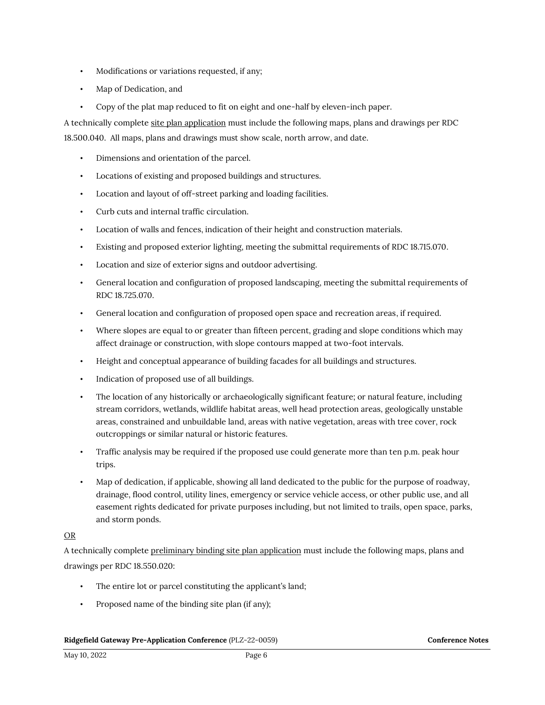- Modifications or variations requested, if any;
- Map of Dedication, and
- Copy of the plat map reduced to fit on eight and one-half by eleven-inch paper.

A technically complete site plan application must include the following maps, plans and drawings per RDC 18.500.040. All maps, plans and drawings must show scale, north arrow, and date.

- Dimensions and orientation of the parcel.
- Locations of existing and proposed buildings and structures.
- Location and layout of off-street parking and loading facilities.
- Curb cuts and internal traffic circulation.
- Location of walls and fences, indication of their height and construction materials.
- Existing and proposed exterior lighting, meeting the submittal requirements of RDC 18.715.070.
- Location and size of exterior signs and outdoor advertising.
- General location and configuration of proposed landscaping, meeting the submittal requirements of RDC 18.725.070.
- General location and configuration of proposed open space and recreation areas, if required.
- Where slopes are equal to or greater than fifteen percent, grading and slope conditions which may affect drainage or construction, with slope contours mapped at two-foot intervals.
- Height and conceptual appearance of building facades for all buildings and structures.
- Indication of proposed use of all buildings.
- The location of any historically or archaeologically significant feature; or natural feature, including stream corridors, wetlands, wildlife habitat areas, well head protection areas, geologically unstable areas, constrained and unbuildable land, areas with native vegetation, areas with tree cover, rock outcroppings or similar natural or historic features.
- Traffic analysis may be required if the proposed use could generate more than ten p.m. peak hour trips.
- Map of dedication, if applicable, showing all land dedicated to the public for the purpose of roadway, drainage, flood control, utility lines, emergency or service vehicle access, or other public use, and all easement rights dedicated for private purposes including, but not limited to trails, open space, parks, and storm ponds.

### OR

A technically complete preliminary binding site plan application must include the following maps, plans and drawings per RDC 18.550.020:

- The entire lot or parcel constituting the applicant's land;
- Proposed name of the binding site plan (if any);

#### Ridgefield Gateway Pre-Application Conference (PLZ-22-0059) **Conference Notes Conference Notes**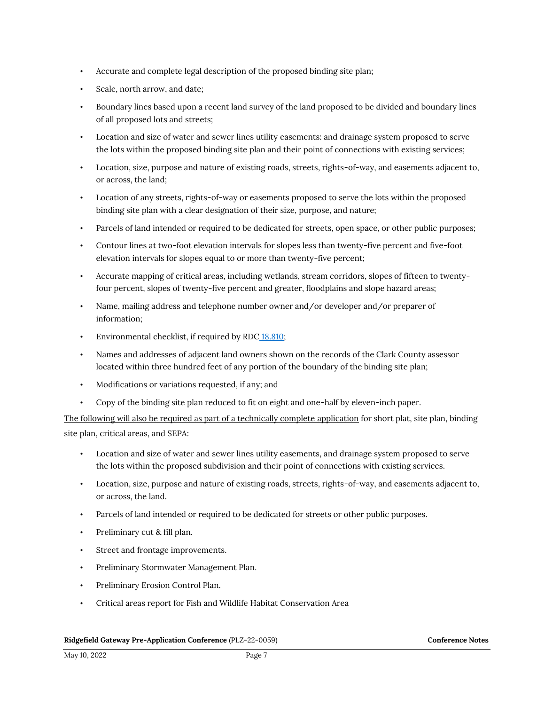- Accurate and complete legal description of the proposed binding site plan;
- Scale, north arrow, and date;
- Boundary lines based upon a recent land survey of the land proposed to be divided and boundary lines of all proposed lots and streets;
- Location and size of water and sewer lines utility easements: and drainage system proposed to serve the lots within the proposed binding site plan and their point of connections with existing services;
- Location, size, purpose and nature of existing roads, streets, rights-of-way, and easements adjacent to, or across, the land;
- Location of any streets, rights-of-way or easements proposed to serve the lots within the proposed binding site plan with a clear designation of their size, purpose, and nature;
- Parcels of land intended or required to be dedicated for streets, open space, or other public purposes;
- Contour lines at two-foot elevation intervals for slopes less than twenty-five percent and five-foot elevation intervals for slopes equal to or more than twenty-five percent;
- Accurate mapping of critical areas, including wetlands, stream corridors, slopes of fifteen to twentyfour percent, slopes of twenty-five percent and greater, floodplains and slope hazard areas;
- Name, mailing address and telephone number owner and/or developer and/or preparer of information;
- Environmental checklist, if required by RDC [18.810;](https://library.municode.com/wa/ridgefield/codes/code_of_ordinances?nodeId=CO_TIT18DECO_CH18.810ENSTSE)
- Names and addresses of adjacent land owners shown on the records of the Clark County assessor located within three hundred feet of any portion of the boundary of the binding site plan;
- Modifications or variations requested, if any; and
- Copy of the binding site plan reduced to fit on eight and one-half by eleven-inch paper.

The following will also be required as part of a technically complete application for short plat, site plan, binding site plan, critical areas, and SEPA:

- Location and size of water and sewer lines utility easements, and drainage system proposed to serve the lots within the proposed subdivision and their point of connections with existing services.
- Location, size, purpose and nature of existing roads, streets, rights-of-way, and easements adjacent to, or across, the land.
- Parcels of land intended or required to be dedicated for streets or other public purposes.
- Preliminary cut & fill plan.
- Street and frontage improvements.
- Preliminary Stormwater Management Plan.
- Preliminary Erosion Control Plan.
- Critical areas report for Fish and Wildlife Habitat Conservation Area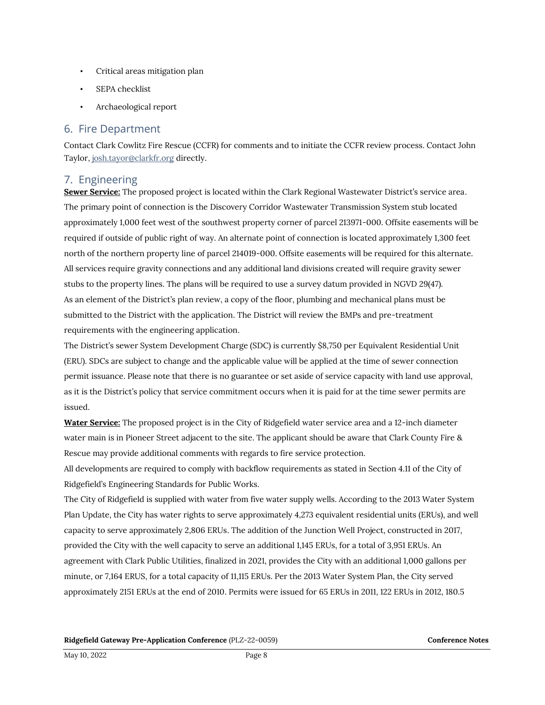- Critical areas mitigation plan
- SEPA checklist
- Archaeological report

## 6. Fire Department

Contact Clark Cowlitz Fire Rescue (CCFR) for comments and to initiate the CCFR review process. Contact John Taylor[, josh.tayor@clarkfr.org](mailto:josh.tayor@clarkfr.org) directly.

## 7. Engineering

**Sewer Service:** The proposed project is located within the Clark Regional Wastewater District's service area. The primary point of connection is the Discovery Corridor Wastewater Transmission System stub located approximately 1,000 feet west of the southwest property corner of parcel 213971-000. Offsite easements will be required if outside of public right of way. An alternate point of connection is located approximately 1,300 feet north of the northern property line of parcel 214019-000. Offsite easements will be required for this alternate. All services require gravity connections and any additional land divisions created will require gravity sewer stubs to the property lines. The plans will be required to use a survey datum provided in NGVD 29(47). As an element of the District's plan review, a copy of the floor, plumbing and mechanical plans must be submitted to the District with the application. The District will review the BMPs and pre-treatment requirements with the engineering application.

The District's sewer System Development Charge (SDC) is currently \$8,750 per Equivalent Residential Unit (ERU). SDCs are subject to change and the applicable value will be applied at the time of sewer connection permit issuance. Please note that there is no guarantee or set aside of service capacity with land use approval, as it is the District's policy that service commitment occurs when it is paid for at the time sewer permits are issued.

**Water Service:** The proposed project is in the City of Ridgefield water service area and a 12-inch diameter water main is in Pioneer Street adjacent to the site. The applicant should be aware that Clark County Fire & Rescue may provide additional comments with regards to fire service protection.

All developments are required to comply with backflow requirements as stated in Section 4.11 of the City of Ridgefield's Engineering Standards for Public Works.

The City of Ridgefield is supplied with water from five water supply wells. According to the 2013 Water System Plan Update, the City has water rights to serve approximately 4,273 equivalent residential units (ERUs), and well capacity to serve approximately 2,806 ERUs. The addition of the Junction Well Project, constructed in 2017, provided the City with the well capacity to serve an additional 1,145 ERUs, for a total of 3,951 ERUs. An agreement with Clark Public Utilities, finalized in 2021, provides the City with an additional 1,000 gallons per minute, or 7,164 ERUS, for a total capacity of 11,115 ERUs. Per the 2013 Water System Plan, the City served approximately 2151 ERUs at the end of 2010. Permits were issued for 65 ERUs in 2011, 122 ERUs in 2012, 180.5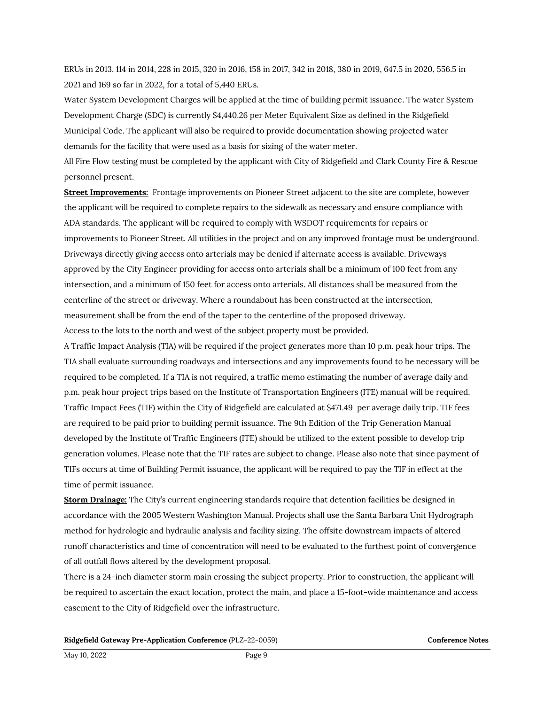ERUs in 2013, 114 in 2014, 228 in 2015, 320 in 2016, 158 in 2017, 342 in 2018, 380 in 2019, 647.5 in 2020, 556.5 in 2021 and 169 so far in 2022, for a total of 5,440 ERUs.

Water System Development Charges will be applied at the time of building permit issuance. The water System Development Charge (SDC) is currently \$4,440.26 per Meter Equivalent Size as defined in the Ridgefield Municipal Code. The applicant will also be required to provide documentation showing projected water demands for the facility that were used as a basis for sizing of the water meter.

All Fire Flow testing must be completed by the applicant with City of Ridgefield and Clark County Fire & Rescue personnel present.

**Street Improvements:** Frontage improvements on Pioneer Street adjacent to the site are complete, however the applicant will be required to complete repairs to the sidewalk as necessary and ensure compliance with ADA standards. The applicant will be required to comply with WSDOT requirements for repairs or improvements to Pioneer Street. All utilities in the project and on any improved frontage must be underground. Driveways directly giving access onto arterials may be denied if alternate access is available. Driveways approved by the City Engineer providing for access onto arterials shall be a minimum of 100 feet from any intersection, and a minimum of 150 feet for access onto arterials. All distances shall be measured from the centerline of the street or driveway. Where a roundabout has been constructed at the intersection, measurement shall be from the end of the taper to the centerline of the proposed driveway. Access to the lots to the north and west of the subject property must be provided.

A Traffic Impact Analysis (TIA) will be required if the project generates more than 10 p.m. peak hour trips. The TIA shall evaluate surrounding roadways and intersections and any improvements found to be necessary will be required to be completed. If a TIA is not required, a traffic memo estimating the number of average daily and p.m. peak hour project trips based on the Institute of Transportation Engineers (ITE) manual will be required. Traffic Impact Fees (TIF) within the City of Ridgefield are calculated at \$471.49 per average daily trip. TIF fees are required to be paid prior to building permit issuance. The 9th Edition of the Trip Generation Manual developed by the Institute of Traffic Engineers (ITE) should be utilized to the extent possible to develop trip generation volumes. Please note that the TIF rates are subject to change. Please also note that since payment of TIFs occurs at time of Building Permit issuance, the applicant will be required to pay the TIF in effect at the time of permit issuance.

**Storm Drainage:** The City's current engineering standards require that detention facilities be designed in accordance with the 2005 Western Washington Manual. Projects shall use the Santa Barbara Unit Hydrograph method for hydrologic and hydraulic analysis and facility sizing. The offsite downstream impacts of altered runoff characteristics and time of concentration will need to be evaluated to the furthest point of convergence of all outfall flows altered by the development proposal.

There is a 24-inch diameter storm main crossing the subject property. Prior to construction, the applicant will be required to ascertain the exact location, protect the main, and place a 15-foot-wide maintenance and access easement to the City of Ridgefield over the infrastructure.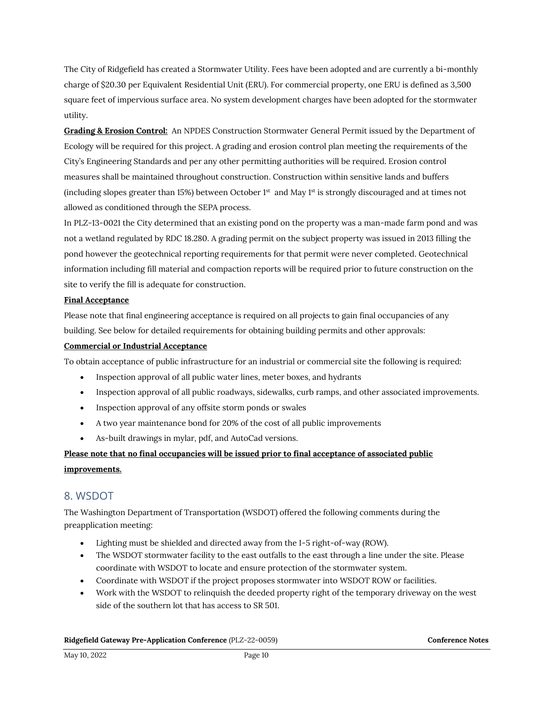The City of Ridgefield has created a Stormwater Utility. Fees have been adopted and are currently a bi-monthly charge of \$20.30 per Equivalent Residential Unit (ERU). For commercial property, one ERU is defined as 3,500 square feet of impervious surface area. No system development charges have been adopted for the stormwater utility.

**Grading & Erosion Control:** An NPDES Construction Stormwater General Permit issued by the Department of Ecology will be required for this project. A grading and erosion control plan meeting the requirements of the City's Engineering Standards and per any other permitting authorities will be required. Erosion control measures shall be maintained throughout construction. Construction within sensitive lands and buffers (including slopes greater than 15%) between October 1 $st$  and May 1 $st$  is strongly discouraged and at times not allowed as conditioned through the SEPA process.

In PLZ-13-0021 the City determined that an existing pond on the property was a man-made farm pond and was not a wetland regulated by RDC 18.280. A grading permit on the subject property was issued in 2013 filling the pond however the geotechnical reporting requirements for that permit were never completed. Geotechnical information including fill material and compaction reports will be required prior to future construction on the site to verify the fill is adequate for construction.

#### **Final Acceptance**

Please note that final engineering acceptance is required on all projects to gain final occupancies of any building. See below for detailed requirements for obtaining building permits and other approvals:

#### **Commercial or Industrial Acceptance**

To obtain acceptance of public infrastructure for an industrial or commercial site the following is required:

- Inspection approval of all public water lines, meter boxes, and hydrants
- Inspection approval of all public roadways, sidewalks, curb ramps, and other associated improvements.
- Inspection approval of any offsite storm ponds or swales
- A two year maintenance bond for 20% of the cost of all public improvements
- As-built drawings in mylar, pdf, and AutoCad versions.

## **Please note that no final occupancies will be issued prior to final acceptance of associated public improvements.**

## 8. WSDOT

The Washington Department of Transportation (WSDOT) offered the following comments during the preapplication meeting:

- Lighting must be shielded and directed away from the I-5 right-of-way (ROW).
- The WSDOT stormwater facility to the east outfalls to the east through a line under the site. Please coordinate with WSDOT to locate and ensure protection of the stormwater system.
- Coordinate with WSDOT if the project proposes stormwater into WSDOT ROW or facilities.
- Work with the WSDOT to relinquish the deeded property right of the temporary driveway on the west side of the southern lot that has access to SR 501.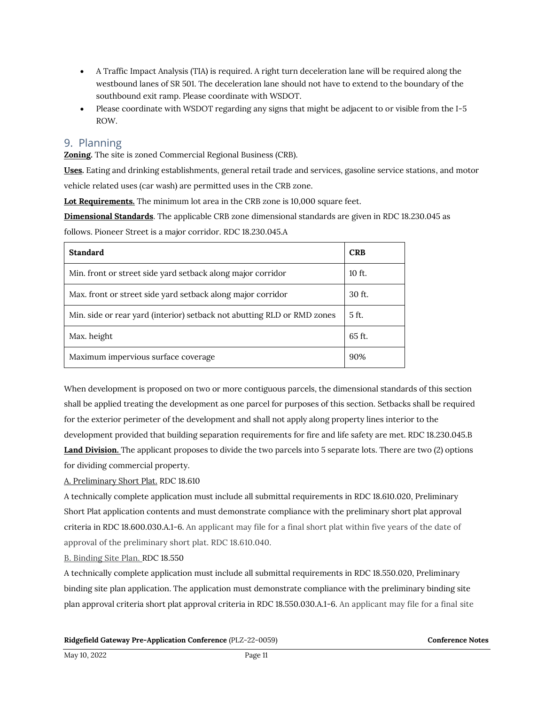- A Traffic Impact Analysis (TIA) is required. A right turn deceleration lane will be required along the westbound lanes of SR 501. The deceleration lane should not have to extend to the boundary of the southbound exit ramp. Please coordinate with WSDOT.
- Please coordinate with WSDOT regarding any signs that might be adjacent to or visible from the I-5 ROW.

## 9. Planning

**Zoning.** The site is zoned Commercial Regional Business (CRB).

**Uses.** Eating and drinking establishments, general retail trade and services, gasoline service stations, and motor vehicle related uses (car wash) are permitted uses in the CRB zone.

**Lot Requirements.** The minimum lot area in the CRB zone is 10,000 square feet.

**Dimensional Standards**. The applicable CRB zone dimensional standards are given in RDC 18.230.045 as

follows. Pioneer Street is a major corridor. RDC 18.230.045.A

| <b>Standard</b>                                                         | <b>CRB</b> |
|-------------------------------------------------------------------------|------------|
| Min. front or street side yard setback along major corridor             | $10$ ft.   |
| Max. front or street side yard setback along major corridor             | $30$ ft.   |
| Min. side or rear yard (interior) setback not abutting RLD or RMD zones | 5 ft.      |
| Max. height                                                             | $65$ ft.   |
| Maximum impervious surface coverage                                     | 90%        |

When development is proposed on two or more contiguous parcels, the dimensional standards of this section shall be applied treating the development as one parcel for purposes of this section. Setbacks shall be required for the exterior perimeter of the development and shall not apply along property lines interior to the development provided that building separation requirements for fire and life safety are met. RDC 18.230.045.B **Land Division.** The applicant proposes to divide the two parcels into 5 separate lots. There are two (2) options for dividing commercial property.

### A. Preliminary Short Plat. RDC 18.610

A technically complete application must include all submittal requirements in RDC 18.610.020, Preliminary Short Plat application contents and must demonstrate compliance with the preliminary short plat approval criteria in RDC 18.600.030.A.1-6. An applicant may file for a final short plat within five years of the date of approval of the preliminary short plat. RDC 18.610.040.

#### B. Binding Site Plan. RDC 18.550

A technically complete application must include all submittal requirements in RDC 18.550.020, Preliminary binding site plan application. The application must demonstrate compliance with the preliminary binding site plan approval criteria short plat approval criteria in RDC 18.550.030.A.1-6. An applicant may file for a final site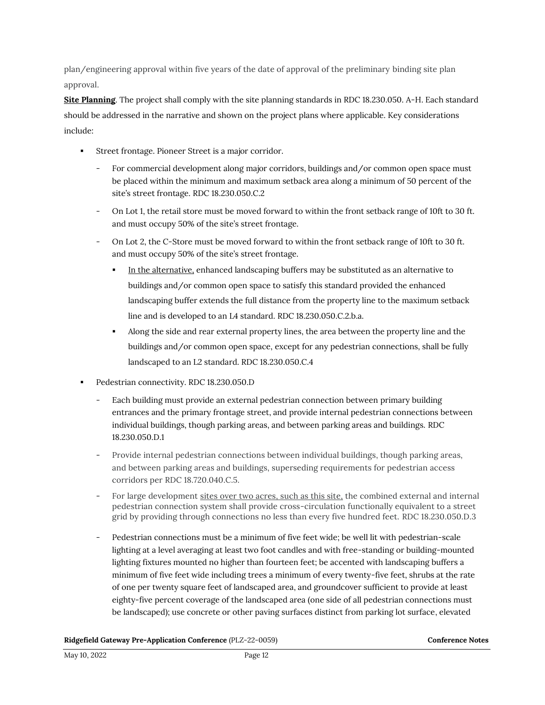plan/engineering approval within five years of the date of approval of the preliminary binding site plan approval.

**Site Planning**. The project shall comply with the site planning standards in RDC 18.230.050. A-H. Each standard should be addressed in the narrative and shown on the project plans where applicable. Key considerations include:

- Street frontage. Pioneer Street is a major corridor.
	- For commercial development along major corridors, buildings and/or common open space must be placed within the minimum and maximum setback area along a minimum of 50 percent of the site's street frontage. RDC 18.230.050.C.2
	- On Lot 1, the retail store must be moved forward to within the front setback range of 10ft to 30 ft. and must occupy 50% of the site's street frontage.
	- On Lot 2, the C-Store must be moved forward to within the front setback range of 10ft to 30 ft. and must occupy 50% of the site's street frontage.
		- In the alternative, enhanced landscaping buffers may be substituted as an alternative to buildings and/or common open space to satisfy this standard provided the enhanced landscaping buffer extends the full distance from the property line to the maximum setback line and is developed to an L4 standard. RDC 18.230.050.C.2.b.a.
		- Along the side and rear external property lines, the area between the property line and the buildings and/or common open space, except for any pedestrian connections, shall be fully landscaped to an L2 standard. RDC 18.230.050.C.4
- Pedestrian connectivity. RDC 18.230.050.D
	- Each building must provide an external pedestrian connection between primary building entrances and the primary frontage street, and provide internal pedestrian connections between individual buildings, though parking areas, and between parking areas and buildings. RDC 18.230.050.D.1
	- Provide internal pedestrian connections between individual buildings, though parking areas, and between parking areas and buildings, superseding requirements for pedestrian access corridors per RDC 18.720.040.C.5.
	- For large development sites over two acres, such as this site, the combined external and internal pedestrian connection system shall provide cross-circulation functionally equivalent to a street grid by providing through connections no less than every five hundred feet. RDC 18.230.050.D.3
	- Pedestrian connections must be a minimum of five feet wide; be well lit with pedestrian-scale lighting at a level averaging at least two foot candles and with free-standing or building-mounted lighting fixtures mounted no higher than fourteen feet; be accented with landscaping buffers a minimum of five feet wide including trees a minimum of every twenty-five feet, shrubs at the rate of one per twenty square feet of landscaped area, and groundcover sufficient to provide at least eighty-five percent coverage of the landscaped area (one side of all pedestrian connections must be landscaped); use concrete or other paving surfaces distinct from parking lot surface, elevated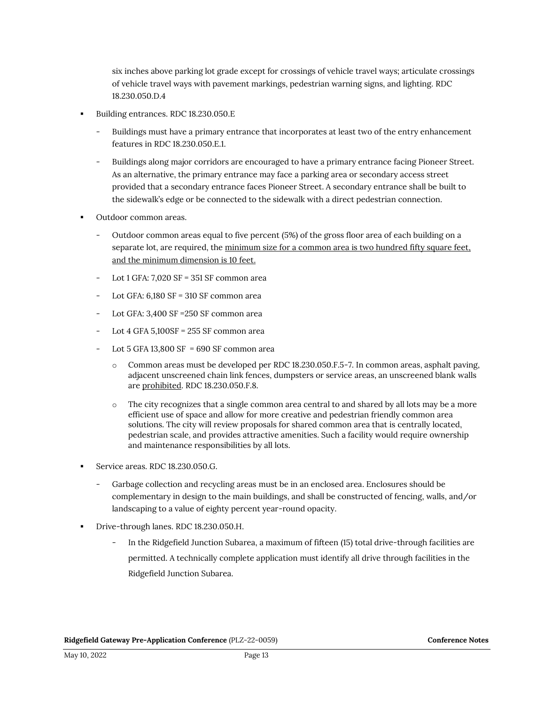six inches above parking lot grade except for crossings of vehicle travel ways; articulate crossings of vehicle travel ways with pavement markings, pedestrian warning signs, and lighting. RDC 18.230.050.D.4

- Building entrances. RDC 18.230.050.E
	- Buildings must have a primary entrance that incorporates at least two of the entry enhancement features in RDC 18.230.050.E.1.
	- Buildings along major corridors are encouraged to have a primary entrance facing Pioneer Street. As an alternative, the primary entrance may face a parking area or secondary access street provided that a secondary entrance faces Pioneer Street. A secondary entrance shall be built to the sidewalk's edge or be connected to the sidewalk with a direct pedestrian connection.
- Outdoor common areas.
	- Outdoor common areas equal to five percent (5%) of the gross floor area of each building on a separate lot, are required, the minimum size for a common area is two hundred fifty square feet, and the minimum dimension is 10 feet.
	- Lot 1 GFA: 7,020 SF = 351 SF common area
	- Lot GFA: 6,180 SF = 310 SF common area
	- Lot GFA: 3,400 SF =250 SF common area
	- Lot 4 GFA  $5,100$ SF = 255 SF common area
	- Lot 5 GFA 13,800 SF =  $690$  SF common area
		- o Common areas must be developed per RDC 18.230.050.F.5-7. In common areas, asphalt paving, adjacent unscreened chain link fences, dumpsters or service areas, an unscreened blank walls are prohibited. RDC 18.230.050.F.8.
		- o The city recognizes that a single common area central to and shared by all lots may be a more efficient use of space and allow for more creative and pedestrian friendly common area solutions. The city will review proposals for shared common area that is centrally located, pedestrian scale, and provides attractive amenities. Such a facility would require ownership and maintenance responsibilities by all lots.
- Service areas. RDC 18.230.050.G.
	- Garbage collection and recycling areas must be in an enclosed area. Enclosures should be complementary in design to the main buildings, and shall be constructed of fencing, walls, and/or landscaping to a value of eighty percent year-round opacity.
- Drive-through lanes. RDC 18.230.050.H.
	- In the Ridgefield Junction Subarea, a maximum of fifteen (15) total drive-through facilities are permitted. A technically complete application must identify all drive through facilities in the Ridgefield Junction Subarea.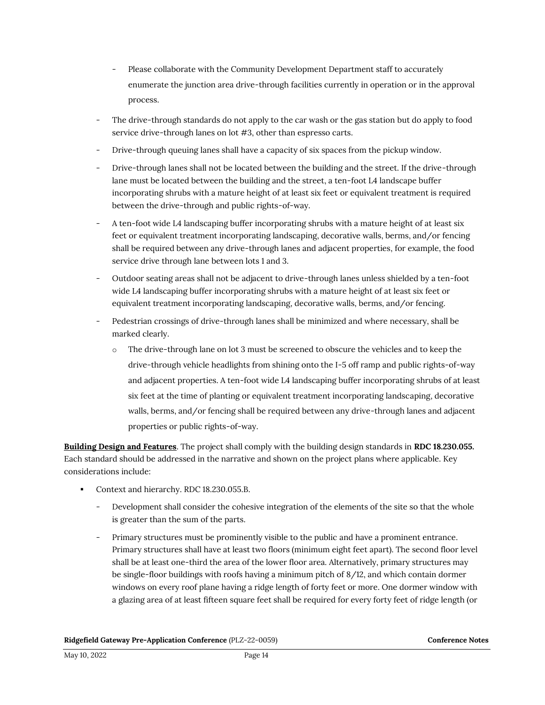- Please collaborate with the Community Development Department staff to accurately enumerate the junction area drive-through facilities currently in operation or in the approval process.
- The drive-through standards do not apply to the car wash or the gas station but do apply to food service drive-through lanes on lot #3, other than espresso carts.
- Drive-through queuing lanes shall have a capacity of six spaces from the pickup window.
- Drive-through lanes shall not be located between the building and the street. If the drive-through lane must be located between the building and the street, a ten-foot L4 landscape buffer incorporating shrubs with a mature height of at least six feet or equivalent treatment is required between the drive-through and public rights-of-way.
- A ten-foot wide L4 landscaping buffer incorporating shrubs with a mature height of at least six feet or equivalent treatment incorporating landscaping, decorative walls, berms, and/or fencing shall be required between any drive-through lanes and adjacent properties, for example, the food service drive through lane between lots 1 and 3.
- Outdoor seating areas shall not be adjacent to drive-through lanes unless shielded by a ten-foot wide L4 landscaping buffer incorporating shrubs with a mature height of at least six feet or equivalent treatment incorporating landscaping, decorative walls, berms, and/or fencing.
- Pedestrian crossings of drive-through lanes shall be minimized and where necessary, shall be marked clearly.
	- o The drive-through lane on lot 3 must be screened to obscure the vehicles and to keep the drive-through vehicle headlights from shining onto the I-5 off ramp and public rights-of-way and adjacent properties. A ten-foot wide L4 landscaping buffer incorporating shrubs of at least six feet at the time of planting or equivalent treatment incorporating landscaping, decorative walls, berms, and/or fencing shall be required between any drive-through lanes and adjacent properties or public rights-of-way.

**Building Design and Features**. The project shall comply with the building design standards in **RDC 18.230.055.**  Each standard should be addressed in the narrative and shown on the project plans where applicable. Key considerations include:

- Context and hierarchy. RDC 18.230.055.B.
	- Development shall consider the cohesive integration of the elements of the site so that the whole is greater than the sum of the parts.
	- Primary structures must be prominently visible to the public and have a prominent entrance. Primary structures shall have at least two floors (minimum eight feet apart). The second floor level shall be at least one-third the area of the lower floor area. Alternatively, primary structures may be single-floor buildings with roofs having a minimum pitch of 8/12, and which contain dormer windows on every roof plane having a ridge length of forty feet or more. One dormer window with a glazing area of at least fifteen square feet shall be required for every forty feet of ridge length (or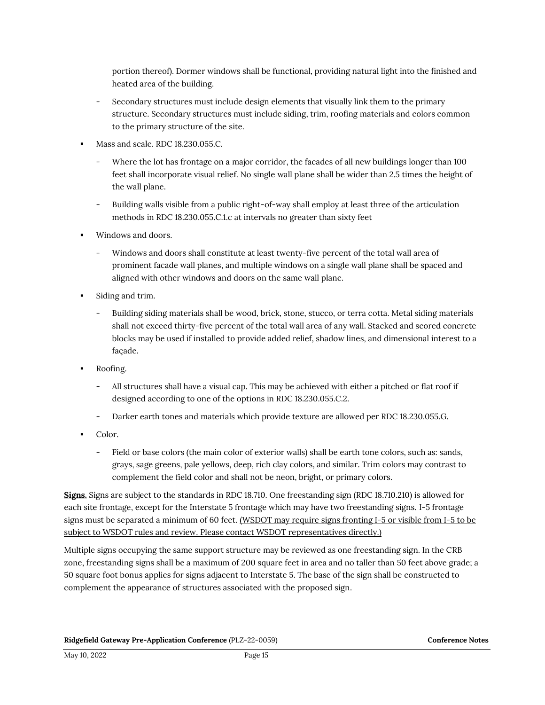portion thereof). Dormer windows shall be functional, providing natural light into the finished and heated area of the building.

- Secondary structures must include design elements that visually link them to the primary structure. Secondary structures must include siding, trim, roofing materials and colors common to the primary structure of the site.
- Mass and scale. RDC 18.230.055.C.
	- Where the lot has frontage on a major corridor, the facades of all new buildings longer than 100 feet shall incorporate visual relief. No single wall plane shall be wider than 2.5 times the height of the wall plane.
	- Building walls visible from a public right-of-way shall employ at least three of the articulation methods in RDC 18.230.055.C.1.c at intervals no greater than sixty feet
- Windows and doors.
	- Windows and doors shall constitute at least twenty-five percent of the total wall area of prominent facade wall planes, and multiple windows on a single wall plane shall be spaced and aligned with other windows and doors on the same wall plane.
- Siding and trim.
	- Building siding materials shall be wood, brick, stone, stucco, or terra cotta. Metal siding materials shall not exceed thirty-five percent of the total wall area of any wall. Stacked and scored concrete blocks may be used if installed to provide added relief, shadow lines, and dimensional interest to a façade.
- Roofing.
	- All structures shall have a visual cap. This may be achieved with either a pitched or flat roof if designed according to one of the options in RDC 18.230.055.C.2.
	- Darker earth tones and materials which provide texture are allowed per RDC 18.230.055.G.
- Color.
	- Field or base colors (the main color of exterior walls) shall be earth tone colors, such as: sands, grays, sage greens, pale yellows, deep, rich clay colors, and similar. Trim colors may contrast to complement the field color and shall not be neon, bright, or primary colors.

**Signs.** Signs are subject to the standards in RDC 18.710. One freestanding sign (RDC 18.710.210) is allowed for each site frontage, except for the Interstate 5 frontage which may have two freestanding signs. I-5 frontage signs must be separated a minimum of 60 feet. (WSDOT may require signs fronting I-5 or visible from I-5 to be subject to WSDOT rules and review. Please contact WSDOT representatives directly.)

Multiple signs occupying the same support structure may be reviewed as one freestanding sign. In the CRB zone, freestanding signs shall be a maximum of 200 square feet in area and no taller than 50 feet above grade; a 50 square foot bonus applies for signs adjacent to Interstate 5. The base of the sign shall be constructed to complement the appearance of structures associated with the proposed sign.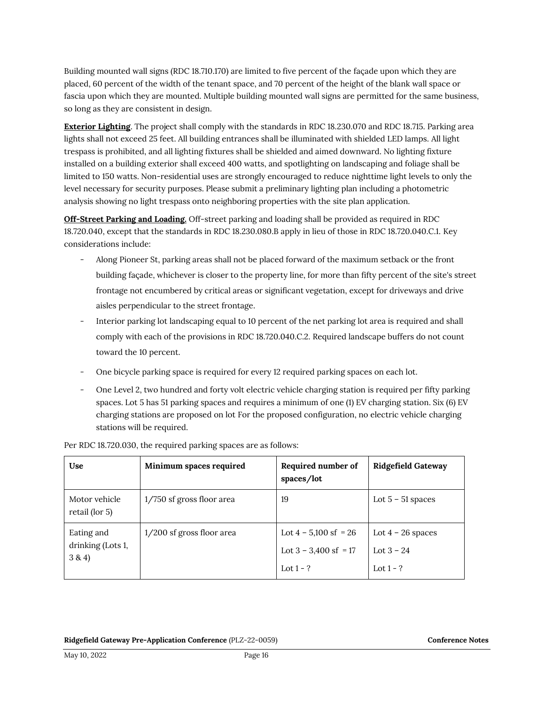Building mounted wall signs (RDC 18.710.170) are limited to five percent of the façade upon which they are placed, 60 percent of the width of the tenant space, and 70 percent of the height of the blank wall space or fascia upon which they are mounted. Multiple building mounted wall signs are permitted for the same business, so long as they are consistent in design.

**Exterior Lighting**. The project shall comply with the standards in RDC 18.230.070 and RDC 18.715. Parking area lights shall not exceed 25 feet. All building entrances shall be illuminated with shielded LED lamps. All light trespass is prohibited, and all lighting fixtures shall be shielded and aimed downward. No lighting fixture installed on a building exterior shall exceed 400 watts, and spotlighting on landscaping and foliage shall be limited to 150 watts. Non-residential uses are strongly encouraged to reduce nighttime light levels to only the level necessary for security purposes. Please submit a preliminary lighting plan including a photometric analysis showing no light trespass onto neighboring properties with the site plan application.

**Off-Street Parking and Loading.** Off-street parking and loading shall be provided as required in RDC 18.720.040, except that the standards in RDC 18.230.080.B apply in lieu of those in RDC 18.720.040.C.1. Key considerations include:

- Along Pioneer St, parking areas shall not be placed forward of the maximum setback or the front building façade, whichever is closer to the property line, for more than fifty percent of the site's street frontage not encumbered by critical areas or significant vegetation, except for driveways and drive aisles perpendicular to the street frontage.
- Interior parking lot landscaping equal to 10 percent of the net parking lot area is required and shall comply with each of the provisions in RDC 18.720.040.C.2. Required landscape buffers do not count toward the 10 percent.
- One bicycle parking space is required for every 12 required parking spaces on each lot.
- One Level 2, two hundred and forty volt electric vehicle charging station is required per fifty parking spaces. Lot 5 has 51 parking spaces and requires a minimum of one (1) EV charging station. Six (6) EV charging stations are proposed on lot For the proposed configuration, no electric vehicle charging stations will be required.

| Use                                       | Minimum spaces required   | Required number of<br>spaces/lot                                  | <b>Ridgefield Gateway</b>                          |
|-------------------------------------------|---------------------------|-------------------------------------------------------------------|----------------------------------------------------|
| Motor vehicle<br>retail (lor 5)           | 1/750 sf gross floor area | 19                                                                | Lot $5 - 51$ spaces                                |
| Eating and<br>drinking (Lots 1,<br>3 & 4) | 1/200 sf gross floor area | Lot $4 - 5,100$ sf = 26<br>Lot $3 - 3,400$ sf = 17<br>Lot $1 - ?$ | Lot $4 - 26$ spaces<br>Lot $3 - 24$<br>Lot $1 - ?$ |

Per RDC 18.720.030, the required parking spaces are as follows: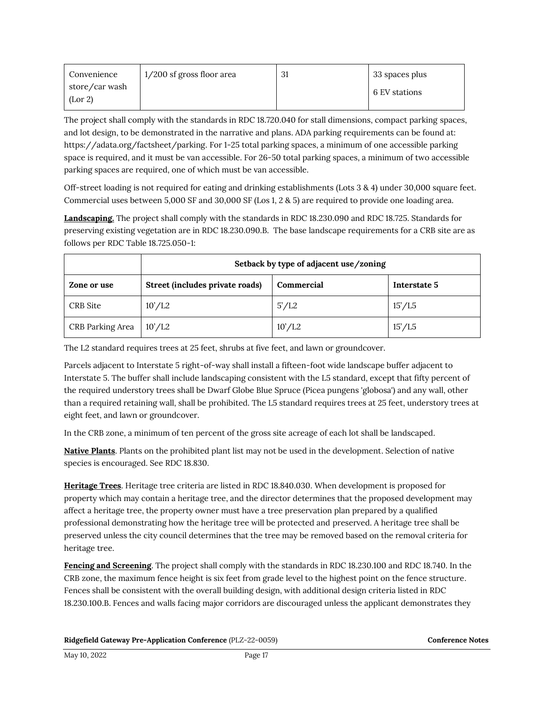| Convenience               | 1/200 sf gross floor area | 31 | 33 spaces plus |
|---------------------------|---------------------------|----|----------------|
| store/car wash<br>(Lor 2) |                           |    | 6 EV stations  |

The project shall comply with the standards in RDC 18.720.040 for stall dimensions, compact parking spaces, and lot design, to be demonstrated in the narrative and plans. ADA parking requirements can be found at: https://adata.org/factsheet/parking. For 1-25 total parking spaces, a minimum of one accessible parking space is required, and it must be van accessible. For 26-50 total parking spaces, a minimum of two accessible parking spaces are required, one of which must be van accessible.

Off-street loading is not required for eating and drinking establishments (Lots 3 & 4) under 30,000 square feet. Commercial uses between 5,000 SF and 30,000 SF (Los 1, 2 & 5) are required to provide one loading area.

**Landscaping.** The project shall comply with the standards in RDC 18.230.090 and RDC 18.725. Standards for preserving existing vegetation are in RDC 18.230.090.B. The base landscape requirements for a CRB site are as follows per RDC Table 18.725.050-1:

|                  | Setback by type of adjacent use/zoning |            |              |
|------------------|----------------------------------------|------------|--------------|
| Zone or use      | Street (includes private roads)        | Commercial | Interstate 5 |
| CRB Site         | 10'/L2                                 | 5'/L2      | 15'/L5       |
| CRB Parking Area | 10'/L2                                 | 10'/L2     | 15'/L5       |

The L2 standard requires trees at 25 feet, shrubs at five feet, and lawn or groundcover.

Parcels adjacent to Interstate 5 right-of-way shall install a fifteen-foot wide landscape buffer adjacent to Interstate 5. The buffer shall include landscaping consistent with the L5 standard, except that fifty percent of the required understory trees shall be Dwarf Globe Blue Spruce (Picea pungens 'globosa') and any wall, other than a required retaining wall, shall be prohibited. The L5 standard requires trees at 25 feet, understory trees at eight feet, and lawn or groundcover.

In the CRB zone, a minimum of ten percent of the gross site acreage of each lot shall be landscaped.

**Native Plants**. Plants on the prohibited plant list may not be used in the development. Selection of native species is encouraged. See RDC 18.830.

**Heritage Trees**. Heritage tree criteria are listed in RDC 18.840.030. When development is proposed for property which may contain a heritage tree, and the director determines that the proposed development may affect a heritage tree, the property owner must have a tree preservation plan prepared by a qualified professional demonstrating how the heritage tree will be protected and preserved. A heritage tree shall be preserved unless the city council determines that the tree may be removed based on the removal criteria for heritage tree.

**Fencing and Screening**. The project shall comply with the standards in RDC 18.230.100 and RDC 18.740. In the CRB zone, the maximum fence height is six feet from grade level to the highest point on the fence structure. Fences shall be consistent with the overall building design, with additional design criteria listed in RDC 18.230.100.B. Fences and walls facing major corridors are discouraged unless the applicant demonstrates they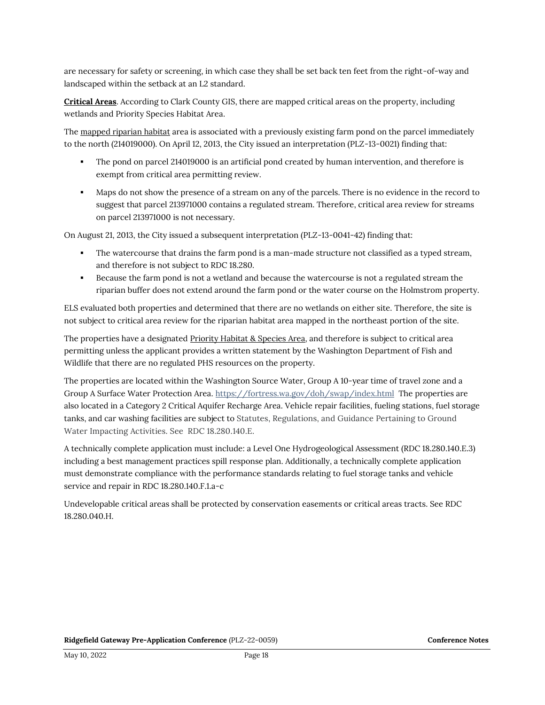are necessary for safety or screening, in which case they shall be set back ten feet from the right-of-way and landscaped within the setback at an L2 standard.

**Critical Areas**. According to Clark County GIS, there are mapped critical areas on the property, including wetlands and Priority Species Habitat Area.

The mapped riparian habitat area is associated with a previously existing farm pond on the parcel immediately to the north (214019000). On April 12, 2013, the City issued an interpretation (PLZ-13-0021) finding that:

- The pond on parcel 214019000 is an artificial pond created by human intervention, and therefore is exempt from critical area permitting review.
- Maps do not show the presence of a stream on any of the parcels. There is no evidence in the record to suggest that parcel 213971000 contains a regulated stream. Therefore, critical area review for streams on parcel 213971000 is not necessary.

On August 21, 2013, the City issued a subsequent interpretation (PLZ-13-0041-42) finding that:

- The watercourse that drains the farm pond is a man-made structure not classified as a typed stream, and therefore is not subject to RDC 18.280.
- Because the farm pond is not a wetland and because the watercourse is not a regulated stream the riparian buffer does not extend around the farm pond or the water course on the Holmstrom property.

ELS evaluated both properties and determined that there are no wetlands on either site. Therefore, the site is not subject to critical area review for the riparian habitat area mapped in the northeast portion of the site.

The properties have a designated Priority Habitat & Species Area, and therefore is subject to critical area permitting unless the applicant provides a written statement by the Washington Department of Fish and Wildlife that there are no regulated PHS resources on the property.

The properties are located within the Washington Source Water, Group A 10-year time of travel zone and a Group A Surface Water Protection Area.<https://fortress.wa.gov/doh/swap/index.html>The properties are also located in a Category 2 Critical Aquifer Recharge Area. Vehicle repair facilities, fueling stations, fuel storage tanks, and car washing facilities are subject to Statutes, Regulations, and Guidance Pertaining to Ground Water Impacting Activities. See RDC 18.280.140.E.

A technically complete application must include: a Level One Hydrogeological Assessment (RDC 18.280.140.E.3) including a best management practices spill response plan. Additionally, a technically complete application must demonstrate compliance with the performance standards relating to fuel storage tanks and vehicle service and repair in RDC 18.280.140.F.1.a-c

Undevelopable critical areas shall be protected by conservation easements or critical areas tracts. See RDC 18.280.040.H.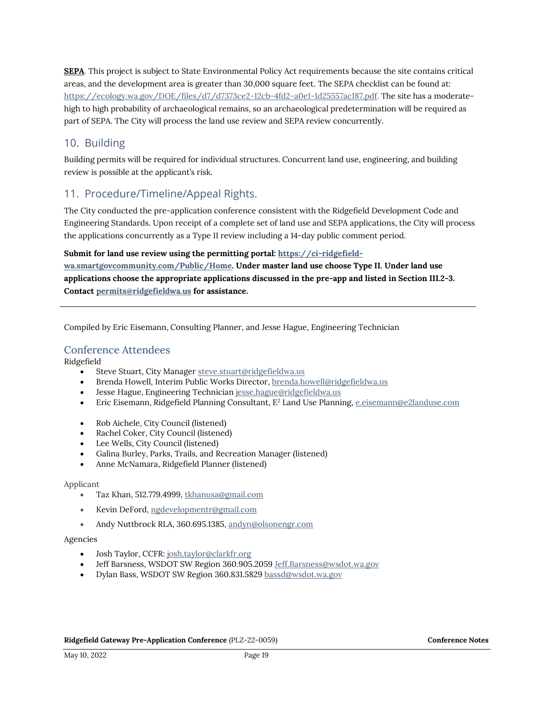**SEPA**. This project is subject to State Environmental Policy Act requirements because the site contains critical areas, and the development area is greater than 30,000 square feet. The SEPA checklist can be found at: [https://ecology.wa.gov/DOE/files/d7/d7373ce2-12cb-4fd2-a0e1-1d25557ac187.pdf.](https://ecology.wa.gov/DOE/files/d7/d7373ce2-12cb-4fd2-a0e1-1d25557ac187.pdf) The site has a moderatehigh to high probability of archaeological remains, so an archaeological predetermination will be required as part of SEPA. The City will process the land use review and SEPA review concurrently.

## 10. Building

Building permits will be required for individual structures. Concurrent land use, engineering, and building review is possible at the applicant's risk.

# 11. Procedure/Timeline/Appeal Rights.

The City conducted the pre-application conference consistent with the Ridgefield Development Code and Engineering Standards. Upon receipt of a complete set of land use and SEPA applications, the City will process the applications concurrently as a Type II review including a 14-day public comment period.

#### **Submit for land use review using the permitting portal[: https://ci-ridgefield-](https://ci-ridgefield-wa.smartgovcommunity.com/Public/Home)**

**[wa.smartgovcommunity.com/Public/Home.](https://ci-ridgefield-wa.smartgovcommunity.com/Public/Home) Under master land use choose Type II. Under land use applications choose the appropriate applications discussed in the pre-app and listed in Section III.2-3. Contact [permits@ridgefieldwa.us](mailto:permits@ridgefieldwa.us) for assistance.** 

Compiled by Eric Eisemann, Consulting Planner, and Jesse Hague, Engineering Technician

### Conference Attendees

Ridgefield

- Steve Stuart, City Manager [steve.stuart@ridgefieldwa.us](mailto:steve.stuart@ridgefieldwa.us)
- Brenda Howell, Interim Public Works Director[, brenda.howell@ridgefieldwa.us](mailto:brenda.howell@ridgefieldwa.us)
- Jesse Hague, Engineering Technician [jesse.hague@ridgefieldwa.us](mailto:jesse.hague@ridgefieldwa.us)
- Eric Eisemann, Ridgefield Planning Consultant, E<sup>2</sup> Land Use Planning[, e.eisemann@e2landuse.com](mailto:e.eisemann@e2landuse.com)
- Rob Aichele, City Council (listened)
- Rachel Coker, City Council (listened)
- Lee Wells, City Council (listened)
- Galina Burley, Parks, Trails, and Recreation Manager (listened)
- Anne McNamara, Ridgefield Planner (listened)

#### Applicant

- Taz Khan, 512.779.4999[, tkhanusa@gmail.com](mailto:tkhanusa@gmail.com)
- Kevin DeFord, [ngdevelopmentr@gmail.com](mailto:ngdevelopmentr@gmail.com)
- Andy Nuttbrock RLA, 360.695.1385[, andyn@olsonengr.com](mailto:andyn@olsonengr.com)

#### Agencies

- Josh Taylor, CCFR[: josh.taylor@clarkfr.org](mailto:josh.taylor@clarkfr.org)
- Jeff Barsness, WSDOT SW Region 360.905.205[9 Jeff.Barsness@wsdot.wa.gov](mailto:Jeff.Barsness@wsdot.wa.gov)
- Dylan Bass, WSDOT SW Region 360.831.5829 [bassd@wsdot.wa.gov](mailto:bassd@wsdot.wa.gov)